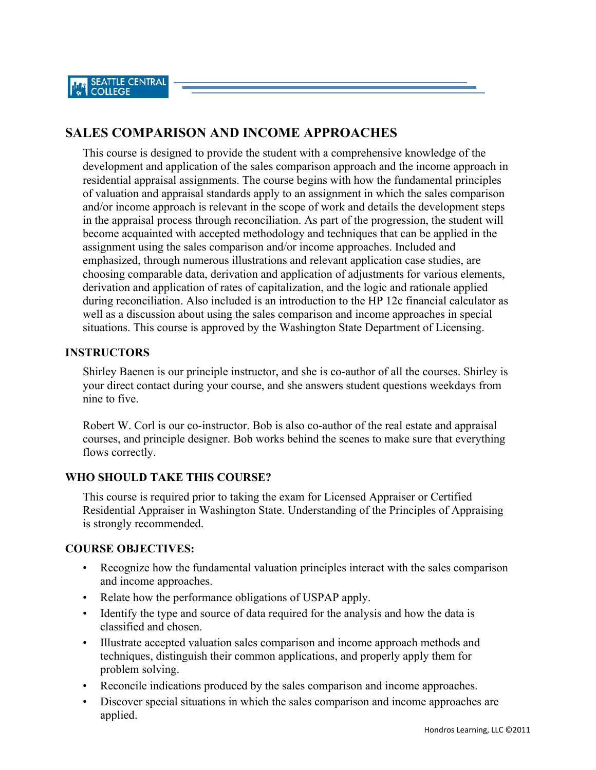# **SALES COMPARISON AND INCOME APPROACHES**

This course is designed to provide the student with a comprehensive knowledge of the development and application of the sales comparison approach and the income approach in residential appraisal assignments. The course begins with how the fundamental principles of valuation and appraisal standards apply to an assignment in which the sales comparison and/or income approach is relevant in the scope of work and details the development steps in the appraisal process through reconciliation. As part of the progression, the student will become acquainted with accepted methodology and techniques that can be applied in the assignment using the sales comparison and/or income approaches. Included and emphasized, through numerous illustrations and relevant application case studies, are choosing comparable data, derivation and application of adjustments for various elements, derivation and application of rates of capitalization, and the logic and rationale applied during reconciliation. Also included is an introduction to the HP 12c financial calculator as well as a discussion about using the sales comparison and income approaches in special situations. This course is approved by the Washington State Department of Licensing.

## **INSTRUCTORS**

Shirley Baenen is our principle instructor, and she is co-author of all the courses. Shirley is your direct contact during your course, and she answers student questions weekdays from nine to five.

Robert W. Corl is our co-instructor. Bob is also co-author of the real estate and appraisal courses, and principle designer. Bob works behind the scenes to make sure that everything flows correctly.

## **WHO SHOULD TAKE THIS COURSE?**

This course is required prior to taking the exam for Licensed Appraiser or Certified Residential Appraiser in Washington State. Understanding of the Principles of Appraising is strongly recommended.

## **COURSE OBJECTIVES:**

- Recognize how the fundamental valuation principles interact with the sales comparison and income approaches.
- Relate how the performance obligations of USPAP apply.
- Identify the type and source of data required for the analysis and how the data is classified and chosen.
- Illustrate accepted valuation sales comparison and income approach methods and techniques, distinguish their common applications, and properly apply them for problem solving.
- Reconcile indications produced by the sales comparison and income approaches.
- Discover special situations in which the sales comparison and income approaches are applied.